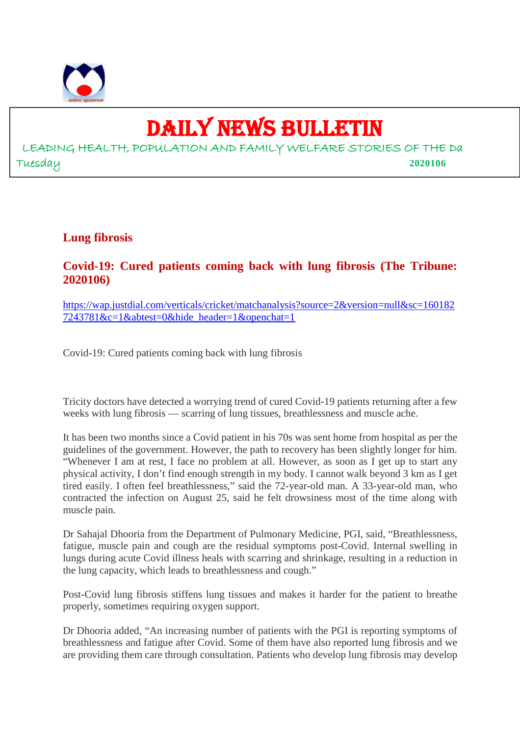

### DAILY NEWS BULLETIN

LEADING HEALTH, POPULATION AND FAMILY WELFARE STORIES OF THE Da Tuesday **2020106**

#### **Lung fibrosis**

**Covid-19: Cured patients coming back with lung fibrosis (The Tribune: 2020106)**

https://wap.justdial.com/verticals/cricket/matchanalysis?source=2&version=null&sc=160182 7243781&c=1&abtest=0&hide\_header=1&openchat=1

Covid-19: Cured patients coming back with lung fibrosis

Tricity doctors have detected a worrying trend of cured Covid-19 patients returning after a few weeks with lung fibrosis — scarring of lung tissues, breathlessness and muscle ache.

It has been two months since a Covid patient in his 70s was sent home from hospital as per the guidelines of the government. However, the path to recovery has been slightly longer for him. "Whenever I am at rest, I face no problem at all. However, as soon as I get up to start any physical activity, I don't find enough strength in my body. I cannot walk beyond 3 km as I get tired easily. I often feel breathlessness," said the 72-year-old man. A 33-year-old man, who contracted the infection on August 25, said he felt drowsiness most of the time along with muscle pain.

Dr Sahajal Dhooria from the Department of Pulmonary Medicine, PGI, said, "Breathlessness, fatigue, muscle pain and cough are the residual symptoms post-Covid. Internal swelling in lungs during acute Covid illness heals with scarring and shrinkage, resulting in a reduction in the lung capacity, which leads to breathlessness and cough."

Post-Covid lung fibrosis stiffens lung tissues and makes it harder for the patient to breathe properly, sometimes requiring oxygen support.

Dr Dhooria added, "An increasing number of patients with the PGI is reporting symptoms of breathlessness and fatigue after Covid. Some of them have also reported lung fibrosis and we are providing them care through consultation. Patients who develop lung fibrosis may develop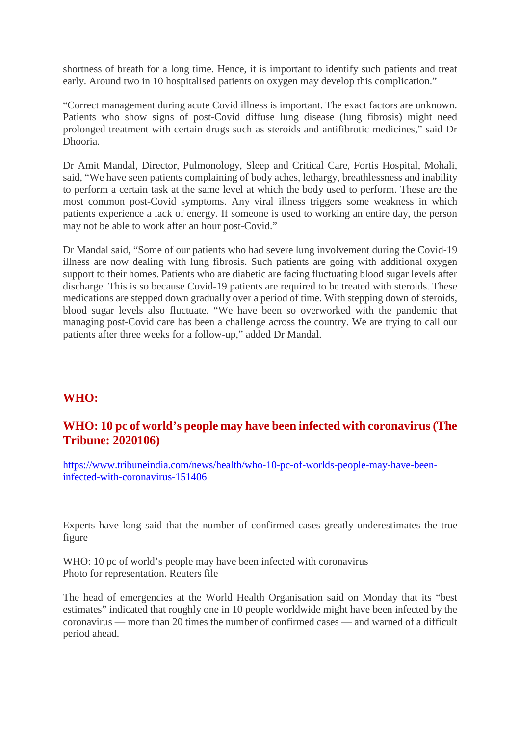shortness of breath for a long time. Hence, it is important to identify such patients and treat early. Around two in 10 hospitalised patients on oxygen may develop this complication."

"Correct management during acute Covid illness is important. The exact factors are unknown. Patients who show signs of post-Covid diffuse lung disease (lung fibrosis) might need prolonged treatment with certain drugs such as steroids and antifibrotic medicines," said Dr Dhooria.

Dr Amit Mandal, Director, Pulmonology, Sleep and Critical Care, Fortis Hospital, Mohali, said, "We have seen patients complaining of body aches, lethargy, breathlessness and inability to perform a certain task at the same level at which the body used to perform. These are the most common post-Covid symptoms. Any viral illness triggers some weakness in which patients experience a lack of energy. If someone is used to working an entire day, the person may not be able to work after an hour post-Covid."

Dr Mandal said, "Some of our patients who had severe lung involvement during the Covid-19 illness are now dealing with lung fibrosis. Such patients are going with additional oxygen support to their homes. Patients who are diabetic are facing fluctuating blood sugar levels after discharge. This is so because Covid-19 patients are required to be treated with steroids. These medications are stepped down gradually over a period of time. With stepping down of steroids, blood sugar levels also fluctuate. "We have been so overworked with the pandemic that managing post-Covid care has been a challenge across the country. We are trying to call our patients after three weeks for a follow-up," added Dr Mandal.

#### **WHO:**

#### **WHO: 10 pc of world's people may have been infected with coronavirus (The Tribune: 2020106)**

https://www.tribuneindia.com/news/health/who-10-pc-of-worlds-people-may-have-beeninfected-with-coronavirus-151406

Experts have long said that the number of confirmed cases greatly underestimates the true figure

WHO: 10 pc of world's people may have been infected with coronavirus Photo for representation. Reuters file

The head of emergencies at the World Health Organisation said on Monday that its "best estimates" indicated that roughly one in 10 people worldwide might have been infected by the coronavirus — more than 20 times the number of confirmed cases — and warned of a difficult period ahead.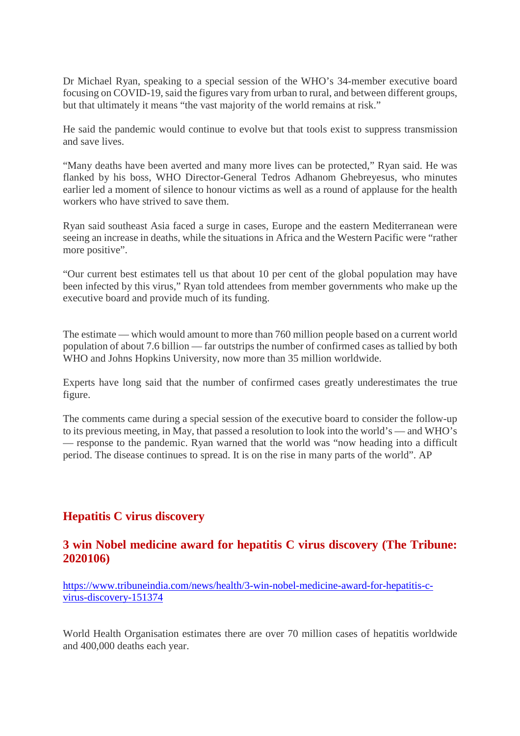Dr Michael Ryan, speaking to a special session of the WHO's 34-member executive board focusing on COVID-19, said the figures vary from urban to rural, and between different groups, but that ultimately it means "the vast majority of the world remains at risk."

He said the pandemic would continue to evolve but that tools exist to suppress transmission and save lives.

"Many deaths have been averted and many more lives can be protected," Ryan said. He was flanked by his boss, WHO Director-General Tedros Adhanom Ghebreyesus, who minutes earlier led a moment of silence to honour victims as well as a round of applause for the health workers who have strived to save them.

Ryan said southeast Asia faced a surge in cases, Europe and the eastern Mediterranean were seeing an increase in deaths, while the situations in Africa and the Western Pacific were "rather more positive".

"Our current best estimates tell us that about 10 per cent of the global population may have been infected by this virus," Ryan told attendees from member governments who make up the executive board and provide much of its funding.

The estimate — which would amount to more than 760 million people based on a current world population of about 7.6 billion — far outstrips the number of confirmed cases as tallied by both WHO and Johns Hopkins University, now more than 35 million worldwide.

Experts have long said that the number of confirmed cases greatly underestimates the true figure.

The comments came during a special session of the executive board to consider the follow-up to its previous meeting, in May, that passed a resolution to look into the world's — and WHO's — response to the pandemic. Ryan warned that the world was "now heading into a difficult period. The disease continues to spread. It is on the rise in many parts of the world". AP

#### **Hepatitis C virus discovery**

#### **3 win Nobel medicine award for hepatitis C virus discovery (The Tribune: 2020106)**

https://www.tribuneindia.com/news/health/3-win-nobel-medicine-award-for-hepatitis-cvirus-discovery-151374

World Health Organisation estimates there are over 70 million cases of hepatitis worldwide and 400,000 deaths each year.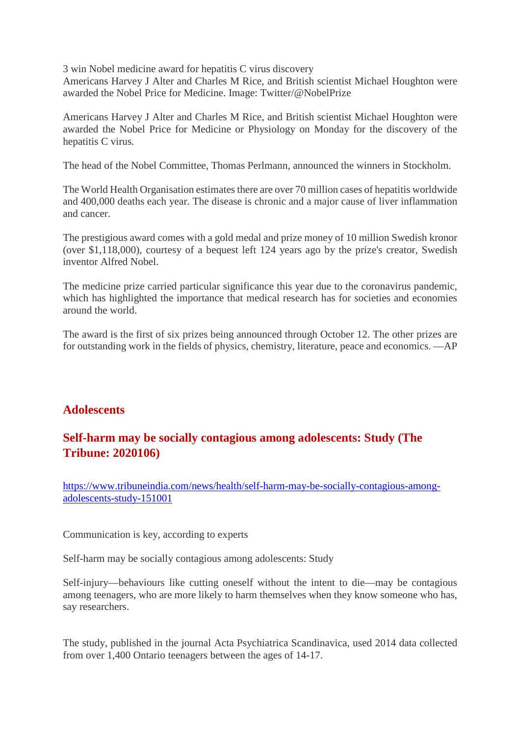3 win Nobel medicine award for hepatitis C virus discovery

Americans Harvey J Alter and Charles M Rice, and British scientist Michael Houghton were awarded the Nobel Price for Medicine. Image: Twitter/@NobelPrize

Americans Harvey J Alter and Charles M Rice, and British scientist Michael Houghton were awarded the Nobel Price for Medicine or Physiology on Monday for the discovery of the hepatitis C virus.

The head of the Nobel Committee, Thomas Perlmann, announced the winners in Stockholm.

The World Health Organisation estimates there are over 70 million cases of hepatitis worldwide and 400,000 deaths each year. The disease is chronic and a major cause of liver inflammation and cancer.

The prestigious award comes with a gold medal and prize money of 10 million Swedish kronor (over \$1,118,000), courtesy of a bequest left 124 years ago by the prize's creator, Swedish inventor Alfred Nobel.

The medicine prize carried particular significance this year due to the coronavirus pandemic, which has highlighted the importance that medical research has for societies and economies around the world.

The award is the first of six prizes being announced through October 12. The other prizes are for outstanding work in the fields of physics, chemistry, literature, peace and economics. —AP

#### **Adolescents**

#### **Self-harm may be socially contagious among adolescents: Study (The Tribune: 2020106)**

https://www.tribuneindia.com/news/health/self-harm-may-be-socially-contagious-amongadolescents-study-151001

Communication is key, according to experts

Self-harm may be socially contagious among adolescents: Study

Self-injury—behaviours like cutting oneself without the intent to die—may be contagious among teenagers, who are more likely to harm themselves when they know someone who has, say researchers.

The study, published in the journal Acta Psychiatrica Scandinavica, used 2014 data collected from over 1,400 Ontario teenagers between the ages of 14-17.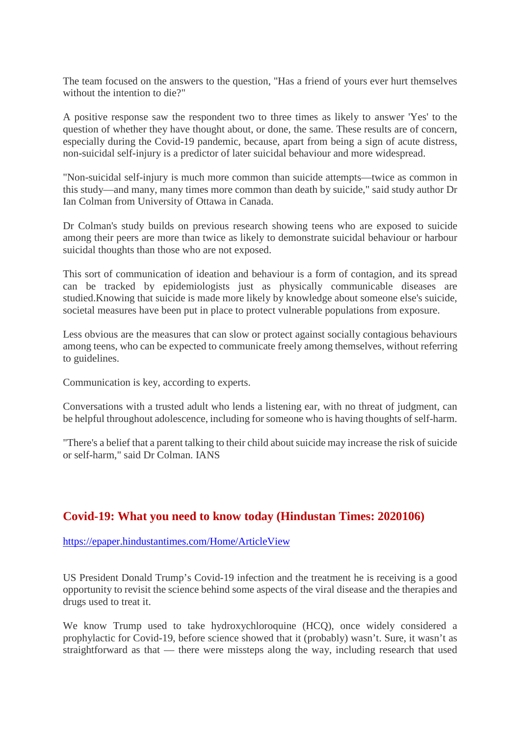The team focused on the answers to the question, "Has a friend of yours ever hurt themselves without the intention to die?"

A positive response saw the respondent two to three times as likely to answer 'Yes' to the question of whether they have thought about, or done, the same. These results are of concern, especially during the Covid-19 pandemic, because, apart from being a sign of acute distress, non-suicidal self-injury is a predictor of later suicidal behaviour and more widespread.

"Non-suicidal self-injury is much more common than suicide attempts—twice as common in this study—and many, many times more common than death by suicide," said study author Dr Ian Colman from University of Ottawa in Canada.

Dr Colman's study builds on previous research showing teens who are exposed to suicide among their peers are more than twice as likely to demonstrate suicidal behaviour or harbour suicidal thoughts than those who are not exposed.

This sort of communication of ideation and behaviour is a form of contagion, and its spread can be tracked by epidemiologists just as physically communicable diseases are studied.Knowing that suicide is made more likely by knowledge about someone else's suicide, societal measures have been put in place to protect vulnerable populations from exposure.

Less obvious are the measures that can slow or protect against socially contagious behaviours among teens, who can be expected to communicate freely among themselves, without referring to guidelines.

Communication is key, according to experts.

Conversations with a trusted adult who lends a listening ear, with no threat of judgment, can be helpful throughout adolescence, including for someone who is having thoughts of self-harm.

"There's a belief that a parent talking to their child about suicide may increase the risk of suicide or self-harm," said Dr Colman. IANS

#### **Covid-19: What you need to know today (Hindustan Times: 2020106)**

https://epaper.hindustantimes.com/Home/ArticleView

US President Donald Trump's Covid-19 infection and the treatment he is receiving is a good opportunity to revisit the science behind some aspects of the viral disease and the therapies and drugs used to treat it.

We know Trump used to take hydroxychloroquine (HCQ), once widely considered a prophylactic for Covid-19, before science showed that it (probably) wasn't. Sure, it wasn't as straightforward as that — there were missteps along the way, including research that used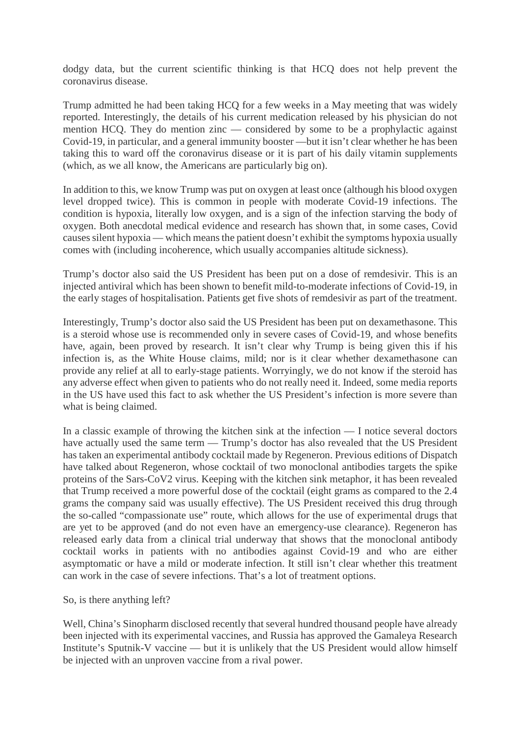dodgy data, but the current scientific thinking is that HCQ does not help prevent the coronavirus disease.

Trump admitted he had been taking HCQ for a few weeks in a May meeting that was widely reported. Interestingly, the details of his current medication released by his physician do not mention HCQ. They do mention zinc — considered by some to be a prophylactic against Covid-19, in particular, and a general immunity booster —but it isn't clear whether he has been taking this to ward off the coronavirus disease or it is part of his daily vitamin supplements (which, as we all know, the Americans are particularly big on).

In addition to this, we know Trump was put on oxygen at least once (although his blood oxygen level dropped twice). This is common in people with moderate Covid-19 infections. The condition is hypoxia, literally low oxygen, and is a sign of the infection starving the body of oxygen. Both anecdotal medical evidence and research has shown that, in some cases, Covid causes silent hypoxia — which means the patient doesn't exhibit the symptoms hypoxia usually comes with (including incoherence, which usually accompanies altitude sickness).

Trump's doctor also said the US President has been put on a dose of remdesivir. This is an injected antiviral which has been shown to benefit mild-to-moderate infections of Covid-19, in the early stages of hospitalisation. Patients get five shots of remdesivir as part of the treatment.

Interestingly, Trump's doctor also said the US President has been put on dexamethasone. This is a steroid whose use is recommended only in severe cases of Covid-19, and whose benefits have, again, been proved by research. It isn't clear why Trump is being given this if his infection is, as the White House claims, mild; nor is it clear whether dexamethasone can provide any relief at all to early-stage patients. Worryingly, we do not know if the steroid has any adverse effect when given to patients who do not really need it. Indeed, some media reports in the US have used this fact to ask whether the US President's infection is more severe than what is being claimed.

In a classic example of throwing the kitchen sink at the infection — I notice several doctors have actually used the same term — Trump's doctor has also revealed that the US President has taken an experimental antibody cocktail made by Regeneron. Previous editions of Dispatch have talked about Regeneron, whose cocktail of two monoclonal antibodies targets the spike proteins of the Sars-CoV2 virus. Keeping with the kitchen sink metaphor, it has been revealed that Trump received a more powerful dose of the cocktail (eight grams as compared to the 2.4 grams the company said was usually effective). The US President received this drug through the so-called "compassionate use" route, which allows for the use of experimental drugs that are yet to be approved (and do not even have an emergency-use clearance). Regeneron has released early data from a clinical trial underway that shows that the monoclonal antibody cocktail works in patients with no antibodies against Covid-19 and who are either asymptomatic or have a mild or moderate infection. It still isn't clear whether this treatment can work in the case of severe infections. That's a lot of treatment options.

So, is there anything left?

Well, China's Sinopharm disclosed recently that several hundred thousand people have already been injected with its experimental vaccines, and Russia has approved the Gamaleya Research Institute's Sputnik-V vaccine — but it is unlikely that the US President would allow himself be injected with an unproven vaccine from a rival power.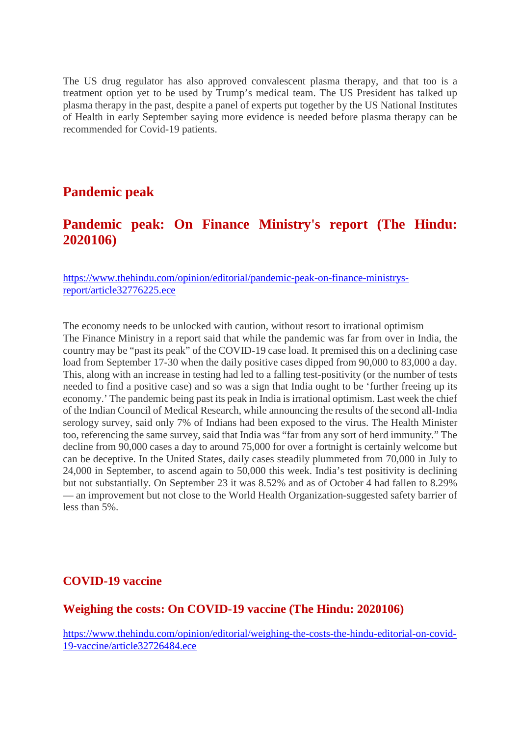The US drug regulator has also approved convalescent plasma therapy, and that too is a treatment option yet to be used by Trump's medical team. The US President has talked up plasma therapy in the past, despite a panel of experts put together by the US National Institutes of Health in early September saying more evidence is needed before plasma therapy can be recommended for Covid-19 patients.

#### **Pandemic peak**

#### **Pandemic peak: On Finance Ministry's report (The Hindu: 2020106)**

https://www.thehindu.com/opinion/editorial/pandemic-peak-on-finance-ministrysreport/article32776225.ece

The economy needs to be unlocked with caution, without resort to irrational optimism The Finance Ministry in a report said that while the pandemic was far from over in India, the country may be "past its peak" of the COVID-19 case load. It premised this on a declining case load from September 17-30 when the daily positive cases dipped from 90,000 to 83,000 a day. This, along with an increase in testing had led to a falling test-positivity (or the number of tests needed to find a positive case) and so was a sign that India ought to be 'further freeing up its economy.' The pandemic being past its peak in India is irrational optimism. Last week the chief of the Indian Council of Medical Research, while announcing the results of the second all-India serology survey, said only 7% of Indians had been exposed to the virus. The Health Minister too, referencing the same survey, said that India was "far from any sort of herd immunity." The decline from 90,000 cases a day to around 75,000 for over a fortnight is certainly welcome but can be deceptive. In the United States, daily cases steadily plummeted from 70,000 in July to 24,000 in September, to ascend again to 50,000 this week. India's test positivity is declining but not substantially. On September 23 it was 8.52% and as of October 4 had fallen to 8.29% — an improvement but not close to the World Health Organization-suggested safety barrier of less than 5%.

#### **COVID-19 vaccine**

#### **Weighing the costs: On COVID-19 vaccine (The Hindu: 2020106)**

https://www.thehindu.com/opinion/editorial/weighing-the-costs-the-hindu-editorial-on-covid-19-vaccine/article32726484.ece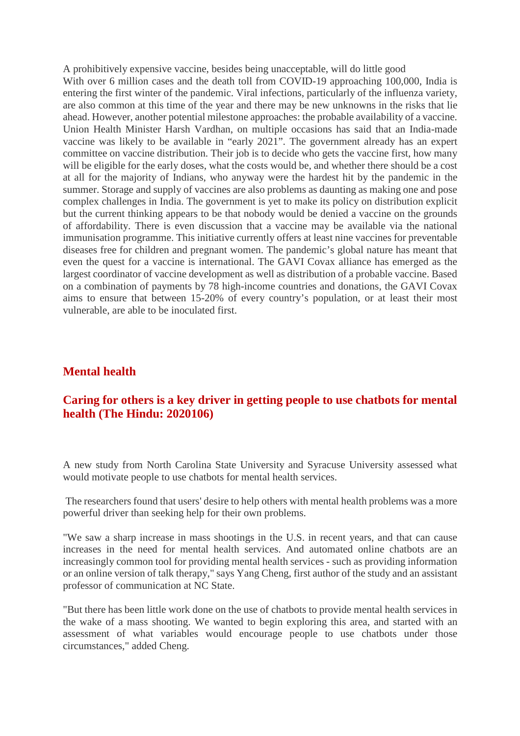A prohibitively expensive vaccine, besides being unacceptable, will do little good With over 6 million cases and the death toll from COVID-19 approaching 100,000, India is entering the first winter of the pandemic. Viral infections, particularly of the influenza variety, are also common at this time of the year and there may be new unknowns in the risks that lie ahead. However, another potential milestone approaches: the probable availability of a vaccine. Union Health Minister Harsh Vardhan, on multiple occasions has said that an India-made vaccine was likely to be available in "early 2021". The government already has an expert committee on vaccine distribution. Their job is to decide who gets the vaccine first, how many will be eligible for the early doses, what the costs would be, and whether there should be a cost at all for the majority of Indians, who anyway were the hardest hit by the pandemic in the summer. Storage and supply of vaccines are also problems as daunting as making one and pose complex challenges in India. The government is yet to make its policy on distribution explicit but the current thinking appears to be that nobody would be denied a vaccine on the grounds of affordability. There is even discussion that a vaccine may be available via the national immunisation programme. This initiative currently offers at least nine vaccines for preventable diseases free for children and pregnant women. The pandemic's global nature has meant that even the quest for a vaccine is international. The GAVI Covax alliance has emerged as the largest coordinator of vaccine development as well as distribution of a probable vaccine. Based on a combination of payments by 78 high-income countries and donations, the GAVI Covax aims to ensure that between 15-20% of every country's population, or at least their most vulnerable, are able to be inoculated first.

#### **Mental health**

#### **Caring for others is a key driver in getting people to use chatbots for mental health (The Hindu: 2020106)**

A new study from North Carolina State University and Syracuse University assessed what would motivate people to use chatbots for mental health services.

The researchers found that users' desire to help others with mental health problems was a more powerful driver than seeking help for their own problems.

"We saw a sharp increase in mass shootings in the U.S. in recent years, and that can cause increases in the need for mental health services. And automated online chatbots are an increasingly common tool for providing mental health services - such as providing information or an online version of talk therapy," says Yang Cheng, first author of the study and an assistant professor of communication at NC State.

"But there has been little work done on the use of chatbots to provide mental health services in the wake of a mass shooting. We wanted to begin exploring this area, and started with an assessment of what variables would encourage people to use chatbots under those circumstances," added Cheng.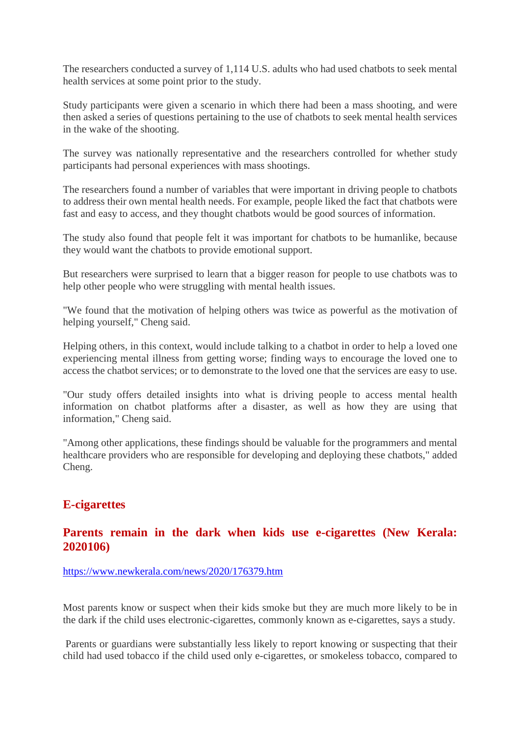The researchers conducted a survey of 1,114 U.S. adults who had used chatbots to seek mental health services at some point prior to the study.

Study participants were given a scenario in which there had been a mass shooting, and were then asked a series of questions pertaining to the use of chatbots to seek mental health services in the wake of the shooting.

The survey was nationally representative and the researchers controlled for whether study participants had personal experiences with mass shootings.

The researchers found a number of variables that were important in driving people to chatbots to address their own mental health needs. For example, people liked the fact that chatbots were fast and easy to access, and they thought chatbots would be good sources of information.

The study also found that people felt it was important for chatbots to be humanlike, because they would want the chatbots to provide emotional support.

But researchers were surprised to learn that a bigger reason for people to use chatbots was to help other people who were struggling with mental health issues.

"We found that the motivation of helping others was twice as powerful as the motivation of helping yourself," Cheng said.

Helping others, in this context, would include talking to a chatbot in order to help a loved one experiencing mental illness from getting worse; finding ways to encourage the loved one to access the chatbot services; or to demonstrate to the loved one that the services are easy to use.

"Our study offers detailed insights into what is driving people to access mental health information on chatbot platforms after a disaster, as well as how they are using that information," Cheng said.

"Among other applications, these findings should be valuable for the programmers and mental healthcare providers who are responsible for developing and deploying these chatbots," added Cheng.

#### **E-cigarettes**

#### **Parents remain in the dark when kids use e-cigarettes (New Kerala: 2020106)**

https://www.newkerala.com/news/2020/176379.htm

Most parents know or suspect when their kids smoke but they are much more likely to be in the dark if the child uses electronic-cigarettes, commonly known as e-cigarettes, says a study.

Parents or guardians were substantially less likely to report knowing or suspecting that their child had used tobacco if the child used only e-cigarettes, or smokeless tobacco, compared to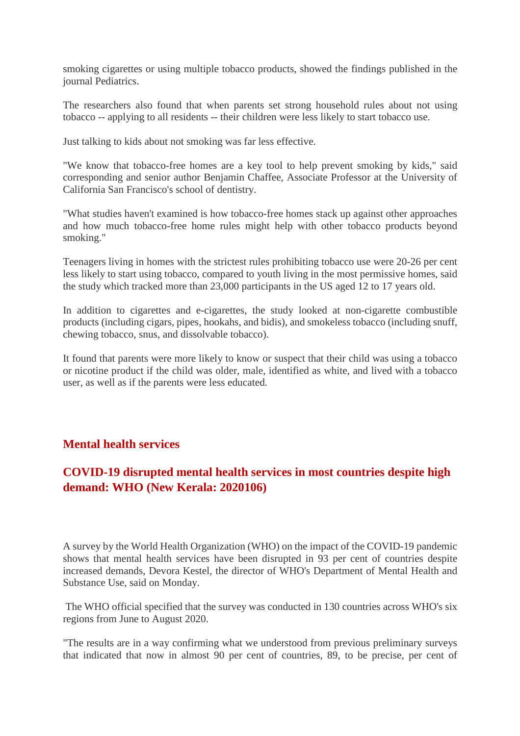smoking cigarettes or using multiple tobacco products, showed the findings published in the journal Pediatrics.

The researchers also found that when parents set strong household rules about not using tobacco -- applying to all residents -- their children were less likely to start tobacco use.

Just talking to kids about not smoking was far less effective.

"We know that tobacco-free homes are a key tool to help prevent smoking by kids," said corresponding and senior author Benjamin Chaffee, Associate Professor at the University of California San Francisco's school of dentistry.

"What studies haven't examined is how tobacco-free homes stack up against other approaches and how much tobacco-free home rules might help with other tobacco products beyond smoking."

Teenagers living in homes with the strictest rules prohibiting tobacco use were 20-26 per cent less likely to start using tobacco, compared to youth living in the most permissive homes, said the study which tracked more than 23,000 participants in the US aged 12 to 17 years old.

In addition to cigarettes and e-cigarettes, the study looked at non-cigarette combustible products (including cigars, pipes, hookahs, and bidis), and smokeless tobacco (including snuff, chewing tobacco, snus, and dissolvable tobacco).

It found that parents were more likely to know or suspect that their child was using a tobacco or nicotine product if the child was older, male, identified as white, and lived with a tobacco user, as well as if the parents were less educated.

#### **Mental health services**

#### **COVID-19 disrupted mental health services in most countries despite high demand: WHO (New Kerala: 2020106)**

A survey by the World Health Organization (WHO) on the impact of the COVID-19 pandemic shows that mental health services have been disrupted in 93 per cent of countries despite increased demands, Devora Kestel, the director of WHO's Department of Mental Health and Substance Use, said on Monday.

The WHO official specified that the survey was conducted in 130 countries across WHO's six regions from June to August 2020.

"The results are in a way confirming what we understood from previous preliminary surveys that indicated that now in almost 90 per cent of countries, 89, to be precise, per cent of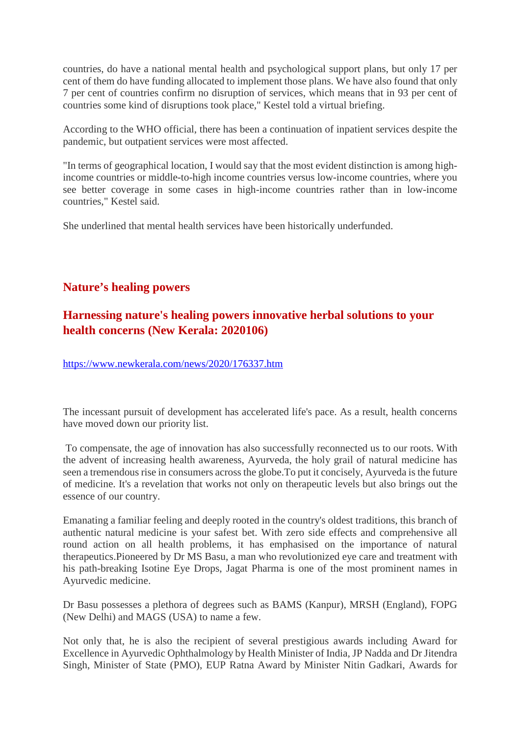countries, do have a national mental health and psychological support plans, but only 17 per cent of them do have funding allocated to implement those plans. We have also found that only 7 per cent of countries confirm no disruption of services, which means that in 93 per cent of countries some kind of disruptions took place," Kestel told a virtual briefing.

According to the WHO official, there has been a continuation of inpatient services despite the pandemic, but outpatient services were most affected.

"In terms of geographical location, I would say that the most evident distinction is among highincome countries or middle-to-high income countries versus low-income countries, where you see better coverage in some cases in high-income countries rather than in low-income countries," Kestel said.

She underlined that mental health services have been historically underfunded.

#### **Nature's healing powers**

#### **Harnessing nature's healing powers innovative herbal solutions to your health concerns (New Kerala: 2020106)**

https://www.newkerala.com/news/2020/176337.htm

The incessant pursuit of development has accelerated life's pace. As a result, health concerns have moved down our priority list.

To compensate, the age of innovation has also successfully reconnected us to our roots. With the advent of increasing health awareness, Ayurveda, the holy grail of natural medicine has seen a tremendous rise in consumers across the globe.To put it concisely, Ayurveda is the future of medicine. It's a revelation that works not only on therapeutic levels but also brings out the essence of our country.

Emanating a familiar feeling and deeply rooted in the country's oldest traditions, this branch of authentic natural medicine is your safest bet. With zero side effects and comprehensive all round action on all health problems, it has emphasised on the importance of natural therapeutics.Pioneered by Dr MS Basu, a man who revolutionized eye care and treatment with his path-breaking Isotine Eye Drops, Jagat Pharma is one of the most prominent names in Ayurvedic medicine.

Dr Basu possesses a plethora of degrees such as BAMS (Kanpur), MRSH (England), FOPG (New Delhi) and MAGS (USA) to name a few.

Not only that, he is also the recipient of several prestigious awards including Award for Excellence in Ayurvedic Ophthalmology by Health Minister of India, JP Nadda and Dr Jitendra Singh, Minister of State (PMO), EUP Ratna Award by Minister Nitin Gadkari, Awards for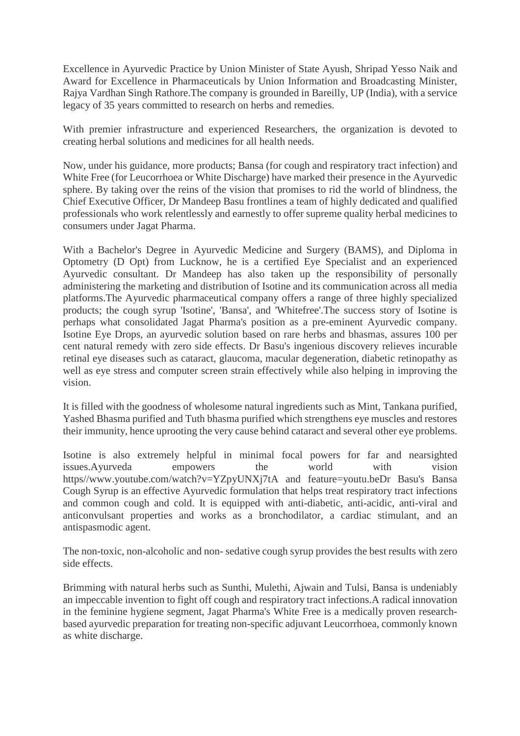Excellence in Ayurvedic Practice by Union Minister of State Ayush, Shripad Yesso Naik and Award for Excellence in Pharmaceuticals by Union Information and Broadcasting Minister, Rajya Vardhan Singh Rathore.The company is grounded in Bareilly, UP (India), with a service legacy of 35 years committed to research on herbs and remedies.

With premier infrastructure and experienced Researchers, the organization is devoted to creating herbal solutions and medicines for all health needs.

Now, under his guidance, more products; Bansa (for cough and respiratory tract infection) and White Free (for Leucorrhoea or White Discharge) have marked their presence in the Ayurvedic sphere. By taking over the reins of the vision that promises to rid the world of blindness, the Chief Executive Officer, Dr Mandeep Basu frontlines a team of highly dedicated and qualified professionals who work relentlessly and earnestly to offer supreme quality herbal medicines to consumers under Jagat Pharma.

With a Bachelor's Degree in Ayurvedic Medicine and Surgery (BAMS), and Diploma in Optometry (D Opt) from Lucknow, he is a certified Eye Specialist and an experienced Ayurvedic consultant. Dr Mandeep has also taken up the responsibility of personally administering the marketing and distribution of Isotine and its communication across all media platforms.The Ayurvedic pharmaceutical company offers a range of three highly specialized products; the cough syrup 'Isotine', 'Bansa', and 'Whitefree'.The success story of Isotine is perhaps what consolidated Jagat Pharma's position as a pre-eminent Ayurvedic company. Isotine Eye Drops, an ayurvedic solution based on rare herbs and bhasmas, assures 100 per cent natural remedy with zero side effects. Dr Basu's ingenious discovery relieves incurable retinal eye diseases such as cataract, glaucoma, macular degeneration, diabetic retinopathy as well as eye stress and computer screen strain effectively while also helping in improving the vision.

It is filled with the goodness of wholesome natural ingredients such as Mint, Tankana purified, Yashed Bhasma purified and Tuth bhasma purified which strengthens eye muscles and restores their immunity, hence uprooting the very cause behind cataract and several other eye problems.

Isotine is also extremely helpful in minimal focal powers for far and nearsighted issues.Ayurveda empowers the world with vision https//www.youtube.com/watch?v=YZpyUNXj7tA and feature=youtu.beDr Basu's Bansa Cough Syrup is an effective Ayurvedic formulation that helps treat respiratory tract infections and common cough and cold. It is equipped with anti-diabetic, anti-acidic, anti-viral and anticonvulsant properties and works as a bronchodilator, a cardiac stimulant, and an antispasmodic agent.

The non-toxic, non-alcoholic and non- sedative cough syrup provides the best results with zero side effects.

Brimming with natural herbs such as Sunthi, Mulethi, Ajwain and Tulsi, Bansa is undeniably an impeccable invention to fight off cough and respiratory tract infections.A radical innovation in the feminine hygiene segment, Jagat Pharma's White Free is a medically proven researchbased ayurvedic preparation for treating non-specific adjuvant Leucorrhoea, commonly known as white discharge.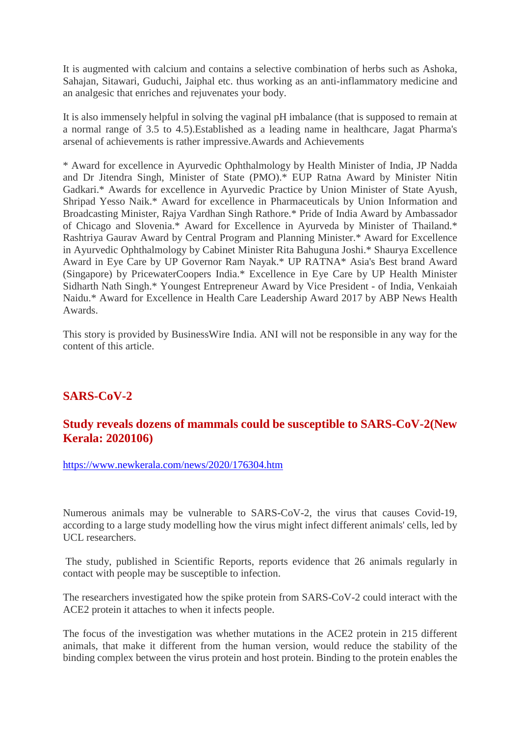It is augmented with calcium and contains a selective combination of herbs such as Ashoka, Sahajan, Sitawari, Guduchi, Jaiphal etc. thus working as an anti-inflammatory medicine and an analgesic that enriches and rejuvenates your body.

It is also immensely helpful in solving the vaginal pH imbalance (that is supposed to remain at a normal range of 3.5 to 4.5).Established as a leading name in healthcare, Jagat Pharma's arsenal of achievements is rather impressive.Awards and Achievements

\* Award for excellence in Ayurvedic Ophthalmology by Health Minister of India, JP Nadda and Dr Jitendra Singh, Minister of State (PMO).\* EUP Ratna Award by Minister Nitin Gadkari.\* Awards for excellence in Ayurvedic Practice by Union Minister of State Ayush, Shripad Yesso Naik.\* Award for excellence in Pharmaceuticals by Union Information and Broadcasting Minister, Rajya Vardhan Singh Rathore.\* Pride of India Award by Ambassador of Chicago and Slovenia.\* Award for Excellence in Ayurveda by Minister of Thailand.\* Rashtriya Gaurav Award by Central Program and Planning Minister.\* Award for Excellence in Ayurvedic Ophthalmology by Cabinet Minister Rita Bahuguna Joshi.\* Shaurya Excellence Award in Eye Care by UP Governor Ram Nayak.\* UP RATNA\* Asia's Best brand Award (Singapore) by PricewaterCoopers India.\* Excellence in Eye Care by UP Health Minister Sidharth Nath Singh.\* Youngest Entrepreneur Award by Vice President - of India, Venkaiah Naidu.\* Award for Excellence in Health Care Leadership Award 2017 by ABP News Health Awards.

This story is provided by BusinessWire India. ANI will not be responsible in any way for the content of this article.

#### **SARS-CoV-2**

#### **Study reveals dozens of mammals could be susceptible to SARS-CoV-2(New Kerala: 2020106)**

https://www.newkerala.com/news/2020/176304.htm

Numerous animals may be vulnerable to SARS-CoV-2, the virus that causes Covid-19, according to a large study modelling how the virus might infect different animals' cells, led by UCL researchers.

The study, published in Scientific Reports, reports evidence that 26 animals regularly in contact with people may be susceptible to infection.

The researchers investigated how the spike protein from SARS-CoV-2 could interact with the ACE2 protein it attaches to when it infects people.

The focus of the investigation was whether mutations in the ACE2 protein in 215 different animals, that make it different from the human version, would reduce the stability of the binding complex between the virus protein and host protein. Binding to the protein enables the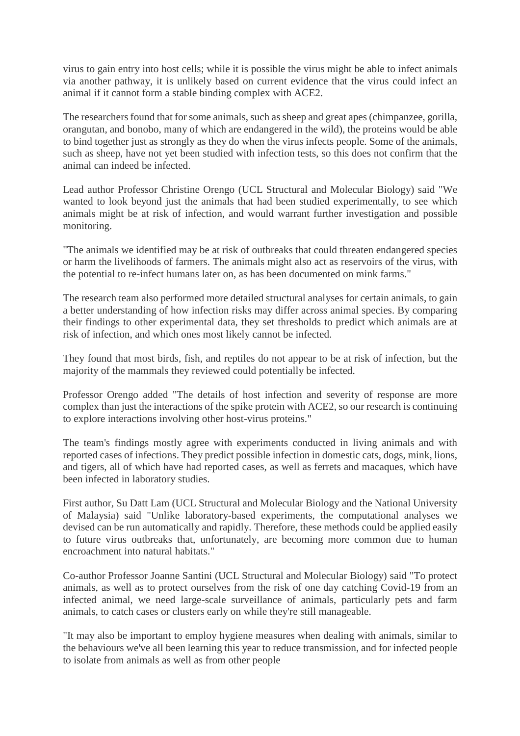virus to gain entry into host cells; while it is possible the virus might be able to infect animals via another pathway, it is unlikely based on current evidence that the virus could infect an animal if it cannot form a stable binding complex with ACE2.

The researchers found that for some animals, such as sheep and great apes (chimpanzee, gorilla, orangutan, and bonobo, many of which are endangered in the wild), the proteins would be able to bind together just as strongly as they do when the virus infects people. Some of the animals, such as sheep, have not yet been studied with infection tests, so this does not confirm that the animal can indeed be infected.

Lead author Professor Christine Orengo (UCL Structural and Molecular Biology) said "We wanted to look beyond just the animals that had been studied experimentally, to see which animals might be at risk of infection, and would warrant further investigation and possible monitoring.

"The animals we identified may be at risk of outbreaks that could threaten endangered species or harm the livelihoods of farmers. The animals might also act as reservoirs of the virus, with the potential to re-infect humans later on, as has been documented on mink farms."

The research team also performed more detailed structural analyses for certain animals, to gain a better understanding of how infection risks may differ across animal species. By comparing their findings to other experimental data, they set thresholds to predict which animals are at risk of infection, and which ones most likely cannot be infected.

They found that most birds, fish, and reptiles do not appear to be at risk of infection, but the majority of the mammals they reviewed could potentially be infected.

Professor Orengo added "The details of host infection and severity of response are more complex than just the interactions of the spike protein with ACE2, so our research is continuing to explore interactions involving other host-virus proteins."

The team's findings mostly agree with experiments conducted in living animals and with reported cases of infections. They predict possible infection in domestic cats, dogs, mink, lions, and tigers, all of which have had reported cases, as well as ferrets and macaques, which have been infected in laboratory studies.

First author, Su Datt Lam (UCL Structural and Molecular Biology and the National University of Malaysia) said "Unlike laboratory-based experiments, the computational analyses we devised can be run automatically and rapidly. Therefore, these methods could be applied easily to future virus outbreaks that, unfortunately, are becoming more common due to human encroachment into natural habitats."

Co-author Professor Joanne Santini (UCL Structural and Molecular Biology) said "To protect animals, as well as to protect ourselves from the risk of one day catching Covid-19 from an infected animal, we need large-scale surveillance of animals, particularly pets and farm animals, to catch cases or clusters early on while they're still manageable.

"It may also be important to employ hygiene measures when dealing with animals, similar to the behaviours we've all been learning this year to reduce transmission, and for infected people to isolate from animals as well as from other people